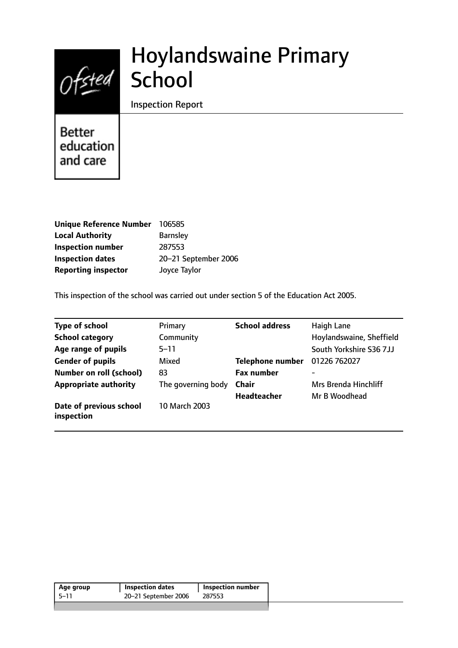# Ofsted School

## Hoylandswaine Primary

Inspection Report

Better education and care

| <b>Unique Reference Number</b> | 106585               |
|--------------------------------|----------------------|
| <b>Local Authority</b>         | <b>Barnsley</b>      |
| <b>Inspection number</b>       | 287553               |
| <b>Inspection dates</b>        | 20-21 September 2006 |
| <b>Reporting inspector</b>     | Joyce Taylor         |

This inspection of the school was carried out under section 5 of the Education Act 2005.

| <b>Type of school</b>                 | Primary            | <b>School address</b>   | <b>Haigh Lane</b>        |
|---------------------------------------|--------------------|-------------------------|--------------------------|
| <b>School category</b>                | Community          |                         | Hoylandswaine, Sheffield |
| Age range of pupils                   | $5 - 11$           |                         | South Yorkshire S36 7JJ  |
| <b>Gender of pupils</b>               | Mixed              | <b>Telephone number</b> | 01226 762027             |
| <b>Number on roll (school)</b>        | 83                 | <b>Fax number</b>       | -                        |
| <b>Appropriate authority</b>          | The governing body | <b>Chair</b>            | Mrs Brenda Hinchliff     |
|                                       |                    | <b>Headteacher</b>      | Mr B Woodhead            |
| Date of previous school<br>inspection | 10 March 2003      |                         |                          |

| Age group | <b>Inspection dates</b> | <b>Inspection number</b> |
|-----------|-------------------------|--------------------------|
| -5–11     | 20-21 September 2006    | 287553                   |
|           |                         |                          |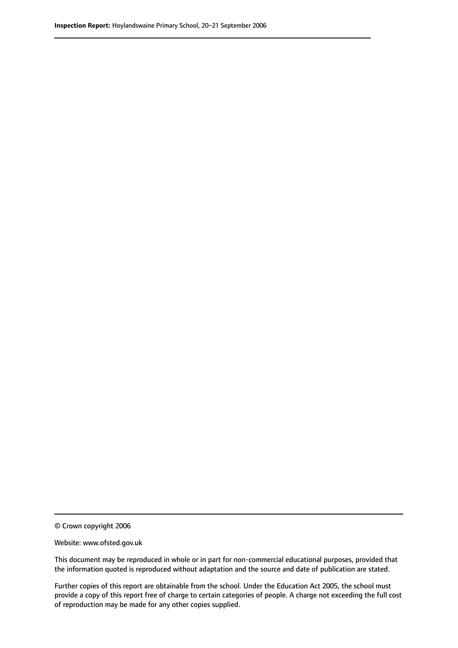© Crown copyright 2006

Website: www.ofsted.gov.uk

This document may be reproduced in whole or in part for non-commercial educational purposes, provided that the information quoted is reproduced without adaptation and the source and date of publication are stated.

Further copies of this report are obtainable from the school. Under the Education Act 2005, the school must provide a copy of this report free of charge to certain categories of people. A charge not exceeding the full cost of reproduction may be made for any other copies supplied.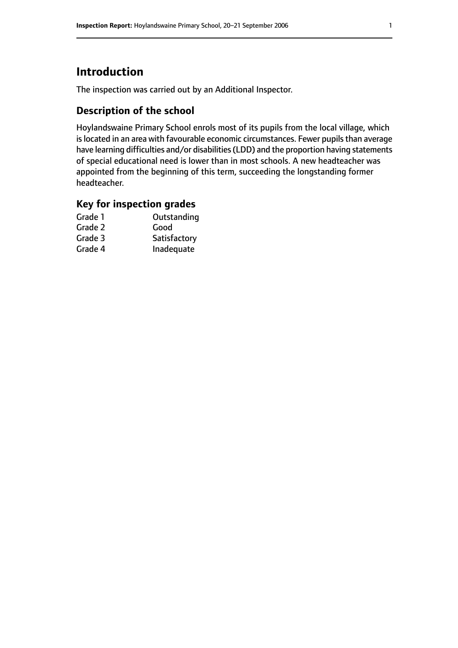## **Introduction**

The inspection was carried out by an Additional Inspector.

## **Description of the school**

Hoylandswaine Primary School enrols most of its pupils from the local village, which is located in an area with favourable economic circumstances. Fewer pupils than average have learning difficulties and/or disabilities(LDD) and the proportion having statements of special educational need is lower than in most schools. A new headteacher was appointed from the beginning of this term, succeeding the longstanding former headteacher.

#### **Key for inspection grades**

| Grade 1 | Outstanding  |
|---------|--------------|
| Grade 2 | Good         |
| Grade 3 | Satisfactory |
| Grade 4 | Inadequate   |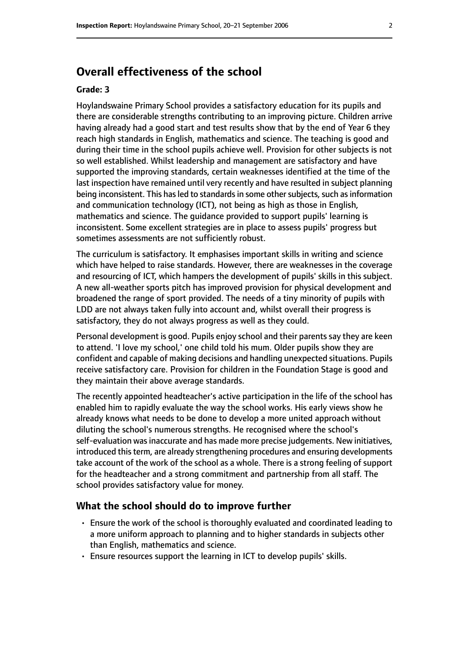## **Overall effectiveness of the school**

#### **Grade: 3**

Hoylandswaine Primary School provides a satisfactory education for its pupils and there are considerable strengths contributing to an improving picture. Children arrive having already had a good start and test results show that by the end of Year 6 they reach high standards in English, mathematics and science. The teaching is good and during their time in the school pupils achieve well. Provision for other subjects is not so well established. Whilst leadership and management are satisfactory and have supported the improving standards, certain weaknesses identified at the time of the last inspection have remained until very recently and have resulted in subject planning being inconsistent. This has led to standards in some other subjects, such as information and communication technology (ICT), not being as high as those in English, mathematics and science. The guidance provided to support pupils' learning is inconsistent. Some excellent strategies are in place to assess pupils' progress but sometimes assessments are not sufficiently robust.

The curriculum is satisfactory. It emphasises important skills in writing and science which have helped to raise standards. However, there are weaknesses in the coverage and resourcing of ICT, which hampers the development of pupils' skills in this subject. A new all-weather sports pitch has improved provision for physical development and broadened the range of sport provided. The needs of a tiny minority of pupils with LDD are not always taken fully into account and, whilst overall their progress is satisfactory, they do not always progress as well as they could.

Personal development is good. Pupils enjoy school and their parents say they are keen to attend. 'I love my school,' one child told his mum. Older pupils show they are confident and capable of making decisions and handling unexpected situations. Pupils receive satisfactory care. Provision for children in the Foundation Stage is good and they maintain their above average standards.

The recently appointed headteacher's active participation in the life of the school has enabled him to rapidly evaluate the way the school works. His early views show he already knows what needs to be done to develop a more united approach without diluting the school's numerous strengths. He recognised where the school's self-evaluation was inaccurate and has made more precise judgements. New initiatives, introduced this term, are already strengthening procedures and ensuring developments take account of the work of the school as a whole. There is a strong feeling of support for the headteacher and a strong commitment and partnership from all staff. The school provides satisfactory value for money.

#### **What the school should do to improve further**

- Ensure the work of the school is thoroughly evaluated and coordinated leading to a more uniform approach to planning and to higher standards in subjects other than English, mathematics and science.
- Ensure resources support the learning in ICT to develop pupils' skills.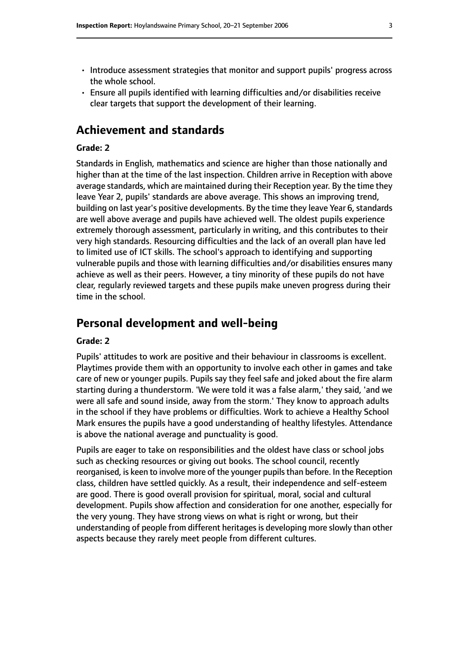- Introduce assessment strategies that monitor and support pupils' progress across the whole school.
- Ensure all pupils identified with learning difficulties and/or disabilities receive clear targets that support the development of their learning.

## **Achievement and standards**

#### **Grade: 2**

Standards in English, mathematics and science are higher than those nationally and higher than at the time of the last inspection. Children arrive in Reception with above average standards, which are maintained during their Reception year. By the time they leave Year 2, pupils' standards are above average. This shows an improving trend, building on last year's positive developments. By the time they leave Year 6, standards are well above average and pupils have achieved well. The oldest pupils experience extremely thorough assessment, particularly in writing, and this contributes to their very high standards. Resourcing difficulties and the lack of an overall plan have led to limited use of ICT skills. The school's approach to identifying and supporting vulnerable pupils and those with learning difficulties and/or disabilities ensures many achieve as well as their peers. However, a tiny minority of these pupils do not have clear, regularly reviewed targets and these pupils make uneven progress during their time in the school.

## **Personal development and well-being**

#### **Grade: 2**

Pupils' attitudes to work are positive and their behaviour in classrooms is excellent. Playtimes provide them with an opportunity to involve each other in games and take care of new or younger pupils. Pupils say they feel safe and joked about the fire alarm starting during a thunderstorm. 'We were told it was a false alarm,' they said, 'and we were all safe and sound inside, away from the storm.' They know to approach adults in the school if they have problems or difficulties. Work to achieve a Healthy School Mark ensures the pupils have a good understanding of healthy lifestyles. Attendance is above the national average and punctuality is good.

Pupils are eager to take on responsibilities and the oldest have class or school jobs such as checking resources or giving out books. The school council, recently reorganised, is keen to involve more of the younger pupils than before. In the Reception class, children have settled quickly. As a result, their independence and self-esteem are good. There is good overall provision for spiritual, moral, social and cultural development. Pupils show affection and consideration for one another, especially for the very young. They have strong views on what is right or wrong, but their understanding of people from different heritages is developing more slowly than other aspects because they rarely meet people from different cultures.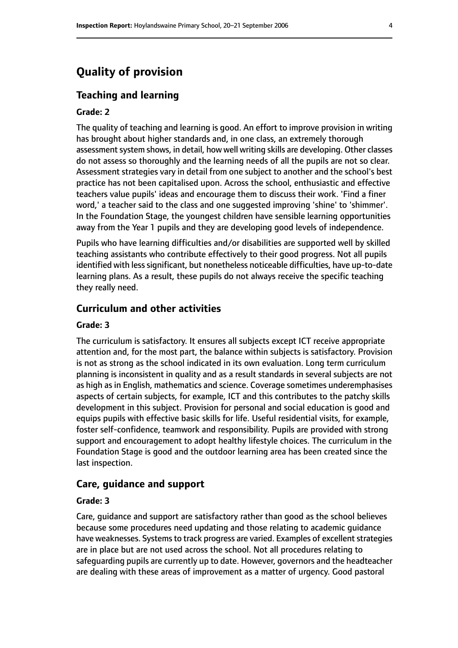## **Quality of provision**

#### **Teaching and learning**

#### **Grade: 2**

The quality of teaching and learning is good. An effort to improve provision in writing has brought about higher standards and, in one class, an extremely thorough assessment system shows, in detail, how well writing skills are developing. Other classes do not assess so thoroughly and the learning needs of all the pupils are not so clear. Assessment strategies vary in detail from one subject to another and the school's best practice has not been capitalised upon. Across the school, enthusiastic and effective teachers value pupils' ideas and encourage them to discuss their work. 'Find a finer word,' a teacher said to the class and one suggested improving 'shine' to 'shimmer'. In the Foundation Stage, the youngest children have sensible learning opportunities away from the Year 1 pupils and they are developing good levels of independence.

Pupils who have learning difficulties and/or disabilities are supported well by skilled teaching assistants who contribute effectively to their good progress. Not all pupils identified with less significant, but nonetheless noticeable difficulties, have up-to-date learning plans. As a result, these pupils do not always receive the specific teaching they really need.

#### **Curriculum and other activities**

#### **Grade: 3**

The curriculum is satisfactory. It ensures all subjects except ICT receive appropriate attention and, for the most part, the balance within subjects is satisfactory. Provision is not as strong as the school indicated in its own evaluation. Long term curriculum planning is inconsistent in quality and as a result standards in several subjects are not as high as in English, mathematics and science. Coverage sometimes underemphasises aspects of certain subjects, for example, ICT and this contributes to the patchy skills development in this subject. Provision for personal and social education is good and equips pupils with effective basic skills for life. Useful residential visits, for example, foster self-confidence, teamwork and responsibility. Pupils are provided with strong support and encouragement to adopt healthy lifestyle choices. The curriculum in the Foundation Stage is good and the outdoor learning area has been created since the last inspection.

#### **Care, guidance and support**

#### **Grade: 3**

Care, guidance and support are satisfactory rather than good as the school believes because some procedures need updating and those relating to academic guidance have weaknesses. Systems to track progress are varied. Examples of excellent strategies are in place but are not used across the school. Not all procedures relating to safeguarding pupils are currently up to date. However, governors and the headteacher are dealing with these areas of improvement as a matter of urgency. Good pastoral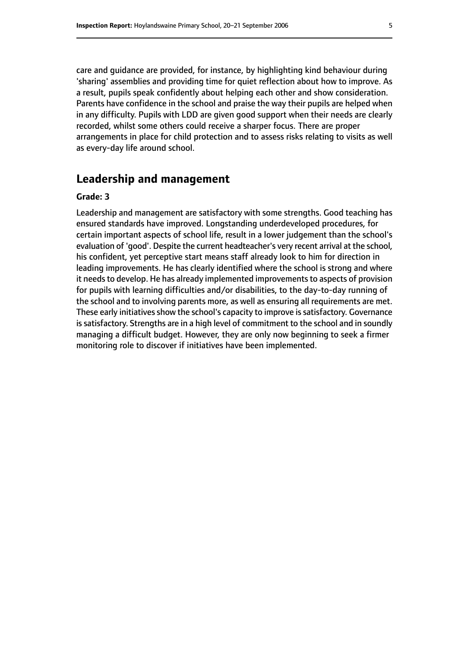care and guidance are provided, for instance, by highlighting kind behaviour during 'sharing' assemblies and providing time for quiet reflection about how to improve. As a result, pupils speak confidently about helping each other and show consideration. Parents have confidence in the school and praise the way their pupils are helped when in any difficulty. Pupils with LDD are given good support when their needs are clearly recorded, whilst some others could receive a sharper focus. There are proper arrangements in place for child protection and to assess risks relating to visits as well as every-day life around school.

## **Leadership and management**

#### **Grade: 3**

Leadership and management are satisfactory with some strengths. Good teaching has ensured standards have improved. Longstanding underdeveloped procedures, for certain important aspects of school life, result in a lower judgement than the school's evaluation of 'good'. Despite the current headteacher's very recent arrival at the school, his confident, yet perceptive start means staff already look to him for direction in leading improvements. He has clearly identified where the school is strong and where it needs to develop. He has already implemented improvements to aspects of provision for pupils with learning difficulties and/or disabilities, to the day-to-day running of the school and to involving parents more, as well as ensuring all requirements are met. These early initiatives show the school's capacity to improve is satisfactory. Governance is satisfactory. Strengths are in a high level of commitment to the school and in soundly managing a difficult budget. However, they are only now beginning to seek a firmer monitoring role to discover if initiatives have been implemented.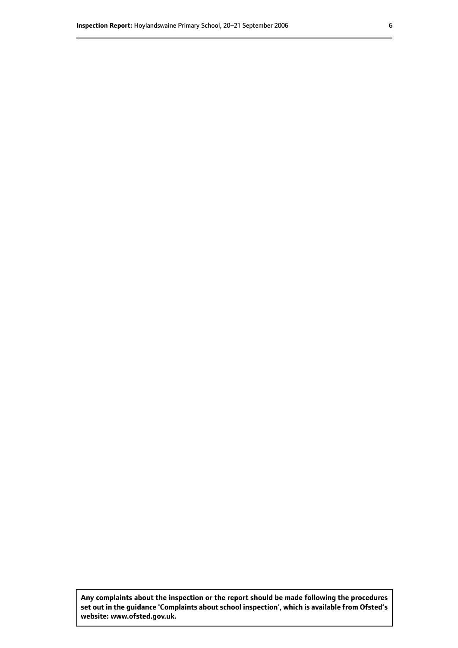**Any complaints about the inspection or the report should be made following the procedures set out inthe guidance 'Complaints about school inspection', whichis available from Ofsted's website: www.ofsted.gov.uk.**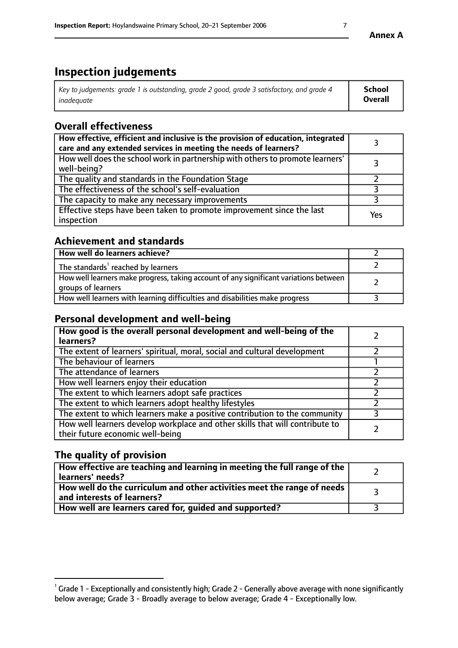## **Inspection judgements**

| Key to judgements: grade 1 is outstanding, grade 2 good, grade 3 satisfactory, and grade 4 | <b>School</b>  |
|--------------------------------------------------------------------------------------------|----------------|
| inadeauate                                                                                 | <b>Overall</b> |

## **Overall effectiveness**

| How effective, efficient and inclusive is the provision of education, integrated<br>care and any extended services in meeting the needs of learners? |     |
|------------------------------------------------------------------------------------------------------------------------------------------------------|-----|
| How well does the school work in partnership with others to promote learners'<br>well-being?                                                         |     |
| The quality and standards in the Foundation Stage                                                                                                    |     |
| The effectiveness of the school's self-evaluation                                                                                                    |     |
| The capacity to make any necessary improvements                                                                                                      |     |
| Effective steps have been taken to promote improvement since the last<br>inspection                                                                  | Yes |

## **Achievement and standards**

| How well do learners achieve?                                                                               |  |
|-------------------------------------------------------------------------------------------------------------|--|
| The standards <sup>1</sup> reached by learners                                                              |  |
| How well learners make progress, taking account of any significant variations between<br>groups of learners |  |
| How well learners with learning difficulties and disabilities make progress                                 |  |

## **Personal development and well-being**

| How good is the overall personal development and well-being of the<br>learners?                                  |  |
|------------------------------------------------------------------------------------------------------------------|--|
| The extent of learners' spiritual, moral, social and cultural development                                        |  |
| The behaviour of learners                                                                                        |  |
| The attendance of learners                                                                                       |  |
| How well learners enjoy their education                                                                          |  |
| The extent to which learners adopt safe practices                                                                |  |
| The extent to which learners adopt healthy lifestyles                                                            |  |
| The extent to which learners make a positive contribution to the community                                       |  |
| How well learners develop workplace and other skills that will contribute to<br>their future economic well-being |  |

## **The quality of provision**

| $\Box$ How effective are teaching and learning in meeting the full range of the $\Box$<br>  learners' needs?        |  |
|---------------------------------------------------------------------------------------------------------------------|--|
| $\mid$ How well do the curriculum and other activities meet the range of needs<br>$\mid$ and interests of learners? |  |
| How well are learners cared for, guided and supported?                                                              |  |

 $^1$  Grade 1 - Exceptionally and consistently high; Grade 2 - Generally above average with none significantly below average; Grade 3 - Broadly average to below average; Grade 4 - Exceptionally low.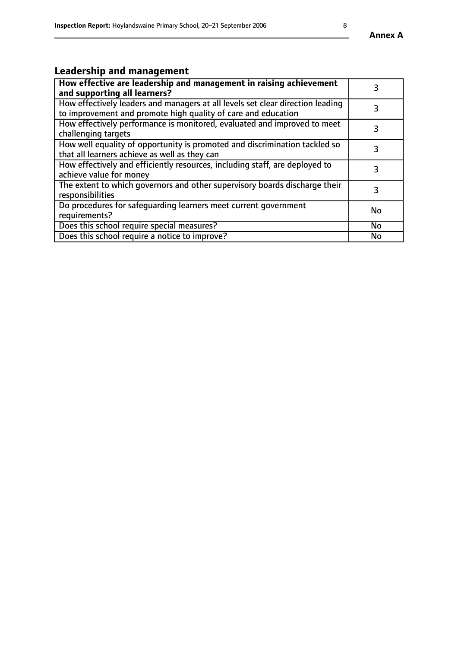## **Leadership and management**

| How effective are leadership and management in raising achievement<br>and supporting all learners?                                              |    |
|-------------------------------------------------------------------------------------------------------------------------------------------------|----|
| How effectively leaders and managers at all levels set clear direction leading<br>to improvement and promote high quality of care and education |    |
| How effectively performance is monitored, evaluated and improved to meet<br>challenging targets                                                 | 3  |
| How well equality of opportunity is promoted and discrimination tackled so<br>that all learners achieve as well as they can                     |    |
| How effectively and efficiently resources, including staff, are deployed to<br>achieve value for money                                          | 3  |
| The extent to which governors and other supervisory boards discharge their<br>responsibilities                                                  |    |
| Do procedures for safequarding learners meet current government<br>requirements?                                                                | No |
| Does this school require special measures?                                                                                                      | No |
| Does this school require a notice to improve?                                                                                                   | No |